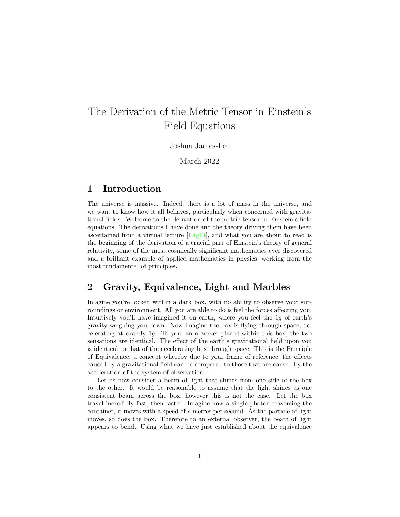# The Derivation of the Metric Tensor in Einstein's Field Equations

Joshua James-Lee

March 2022

## 1 Introduction

The universe is massive. Indeed, there is a lot of mass in the universe, and we want to know how it all behaves, particularly when concerned with gravitational fields. Welcome to the derivation of the metric tensor in Einstein's field equations. The derivations I have done and the theory driving them have been ascertained from a virtual lecture [\[Eag13\]](#page-10-0), and what you are about to read is the beginning of the derivation of a crucial part of Einstein's theory of general relativity, some of the most cosmically significant mathematics ever discovered and a brilliant example of applied mathematics in physics, working from the most fundamental of principles.

# 2 Gravity, Equivalence, Light and Marbles

Imagine you're locked within a dark box, with no ability to observe your surroundings or environment. All you are able to do is feel the forces affecting you. Intuitively you'll have imagined it on earth, where you feel the 1g of earth's gravity weighing you down. Now imagine the box is flying through space, accelerating at exactly 1g. To you, an observer placed within this box, the two sensations are identical. The effect of the earth's gravitational field upon you is identical to that of the accelerating box through space. This is the Principle of Equivalence, a concept whereby due to your frame of reference, the effects caused by a gravitational field can be compared to those that are caused by the acceleration of the system of observation.

Let us now consider a beam of light that shines from one side of the box to the other. It would be reasonable to assume that the light shines as one consistent beam across the box, however this is not the case. Let the box travel incredibly fast, then faster. Imagine now a single photon traversing the container, it moves with a speed of c metres per second. As the particle of light moves, so does the box. Therefore to an external observer, the beam of light appears to bend. Using what we have just established about the equivalence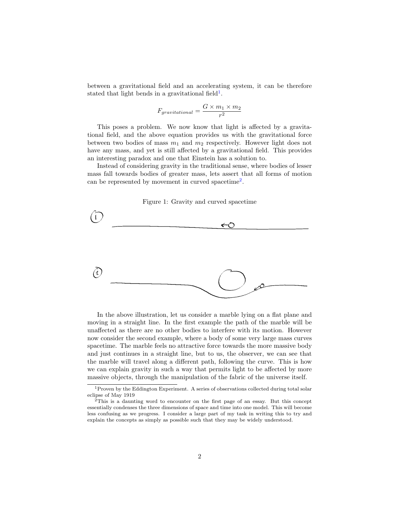between a gravitational field and an accelerating system, it can be therefore stated that light bends in a gravitational field<sup>[1](#page-1-0)</sup>.

$$
F_{gravitational} = \frac{G \times m_1 \times m_2}{r^2}
$$

This poses a problem. We now know that light is affected by a gravitational field, and the above equation provides us with the gravitational force between two bodies of mass  $m_1$  and  $m_2$  respectively. However light does not have any mass, and yet is still affected by a gravitational field. This provides an interesting paradox and one that Einstein has a solution to.

Instead of considering gravity in the traditional sense, where bodies of lesser mass fall towards bodies of greater mass, lets assert that all forms of motion can be represented by movement in curved spacetime<sup>[2](#page-1-1)</sup>.



In the above illustration, let us consider a marble lying on a flat plane and moving in a straight line. In the first example the path of the marble will be unaffected as there are no other bodies to interfere with its motion. However now consider the second example, where a body of some very large mass curves spacetime. The marble feels no attractive force towards the more massive body and just continues in a straight line, but to us, the observer, we can see that the marble will travel along a different path, following the curve. This is how we can explain gravity in such a way that permits light to be affected by more massive objects, through the manipulation of the fabric of the universe itself.

<span id="page-1-0"></span><sup>1</sup>Proven by the Eddington Experiment. A series of observations collected during total solar eclipse of May 1919

<span id="page-1-1"></span><sup>2</sup>This is a daunting word to encounter on the first page of an essay. But this concept essentially condenses the three dimensions of space and time into one model. This will become less confusing as we progress. I consider a large part of my task in writing this to try and explain the concepts as simply as possible such that they may be widely understood.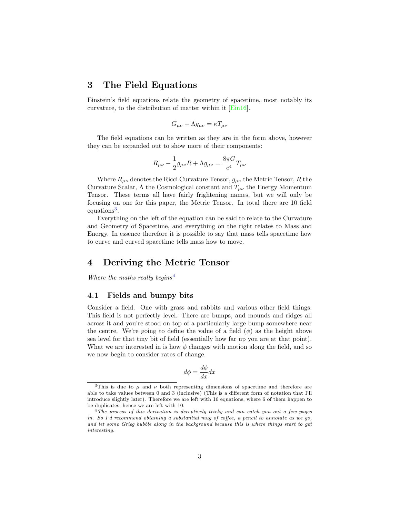### 3 The Field Equations

Einstein's field equations relate the geometry of spacetime, most notably its curvature, to the distribution of matter within it [\[Ein16\]](#page-10-1).

$$
G_{\mu\nu} + \Lambda g_{\mu\nu} = \kappa T_{\mu\nu}
$$

The field equations can be written as they are in the form above, however they can be expanded out to show more of their components:

$$
R_{\mu\nu} - \frac{1}{2}g_{\mu\nu}R + \Lambda g_{\mu\nu} = \frac{8\pi G}{c^4}T_{\mu\nu}
$$

Where  $R_{\mu\nu}$  denotes the Ricci Curvature Tensor,  $g_{\mu\nu}$  the Metric Tensor, R the Curvature Scalar,  $\Lambda$  the Cosmological constant and  $T_{\mu\nu}$  the Energy Momentum Tensor. These terms all have fairly frightening names, but we will only be focusing on one for this paper, the Metric Tensor. In total there are 10 field equations<sup>[3](#page-2-0)</sup>.

Everything on the left of the equation can be said to relate to the Curvature and Geometry of Spacetime, and everything on the right relates to Mass and Energy. In essence therefore it is possible to say that mass tells spacetime how to curve and curved spacetime tells mass how to move.

### 4 Deriving the Metric Tensor

Where the maths really begins<sup>[4](#page-2-1)</sup>

#### <span id="page-2-2"></span>4.1 Fields and bumpy bits

Consider a field. One with grass and rabbits and various other field things. This field is not perfectly level. There are bumps, and mounds and ridges all across it and you're stood on top of a particularly large bump somewhere near the centre. We're going to define the value of a field  $(\phi)$  as the height above sea level for that tiny bit of field (essentially how far up you are at that point). What we are interested in is how  $\phi$  changes with motion along the field, and so we now begin to consider rates of change.

$$
d\phi = \frac{d\phi}{dx} dx
$$

<span id="page-2-0"></span><sup>&</sup>lt;sup>3</sup>This is due to  $\mu$  and  $\nu$  both representing dimensions of spacetime and therefore are able to take values between 0 and 3 (inclusive) (This is a different form of notation that I'll introduce slightly later). Therefore we are left with 16 equations, where 6 of them happen to be duplicates, hence we are left with 10.

<span id="page-2-1"></span> $4$ The process of this derivation is deceptively tricky and can catch you out a few pages in. So I'd recommend obtaining a substantial mug of coffee, a pencil to annotate as we go, and let some Grieg bubble along in the background because this is where things start to get interesting.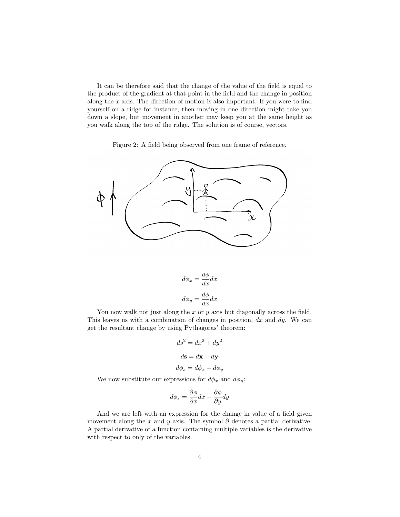It can be therefore said that the change of the value of the field is equal to the product of the gradient at that point in the field and the change in position along the  $x$  axis. The direction of motion is also important. If you were to find yourself on a ridge for instance, then moving in one direction might take you down a slope, but movement in another may keep you at the same height as you walk along the top of the ridge. The solution is of course, vectors.

Figure 2: A field being observed from one frame of reference.



$$
d\phi_x = \frac{d\phi}{dx} dx
$$

$$
d\phi_y = \frac{d\phi}{dx} dx
$$

You now walk not just along the  $x$  or  $y$  axis but diagonally across the field. This leaves us with a combination of changes in position,  $dx$  and  $dy$ . We can get the resultant change by using Pythagoras' theorem:

$$
ds^{2} = dx^{2} + dy^{2}
$$

$$
ds = d\mathbf{x} + d\mathbf{y}
$$

$$
d\phi_{s} = d\phi_{x} + d\phi_{y}
$$

We now substitute our expressions for  $d\phi_x$  and  $d\phi_y$ :

$$
d\phi_s = \frac{\partial \phi}{\partial x} dx + \frac{\partial \phi}{\partial y} dy
$$

And we are left with an expression for the change in value of a field given movement along the x and y axis. The symbol  $\partial$  denotes a partial derivative. A partial derivative of a function containing multiple variables is the derivative with respect to only of the variables.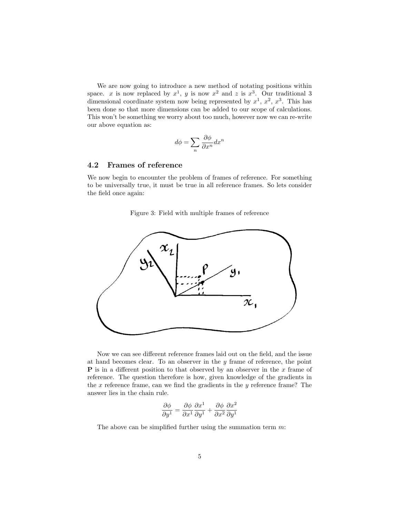We are now going to introduce a new method of notating positions within space. x is now replaced by  $x^1$ , y is now  $x^2$  and z is  $x^3$ . Our traditional 3 dimensional coordinate system now being represented by  $x^1, x^2, x^3$ . This has been done so that more dimensions can be added to our scope of calculations. This won't be something we worry about too much, however now we can re-write our above equation as:

$$
d\phi = \sum_{n} \frac{\partial \phi}{\partial x^n} dx^n
$$

#### 4.2 Frames of reference

We now begin to encounter the problem of frames of reference. For something to be universally true, it must be true in all reference frames. So lets consider the field once again:

Figure 3: Field with multiple frames of reference



Now we can see different reference frames laid out on the field, and the issue at hand becomes clear. To an observer in the  $y$  frame of reference, the point **P** is in a different position to that observed by an observer in the  $x$  frame of reference. The question therefore is how, given knowledge of the gradients in the  $x$  reference frame, can we find the gradients in the  $y$  reference frame? The answer lies in the chain rule.

$$
\frac{\partial \phi}{\partial y^1} = \frac{\partial \phi}{\partial x^1} \frac{\partial x^1}{\partial y^1} + \frac{\partial \phi}{\partial x^2} \frac{\partial x^2}{\partial y^1}
$$

The above can be simplified further using the summation term  $m$ :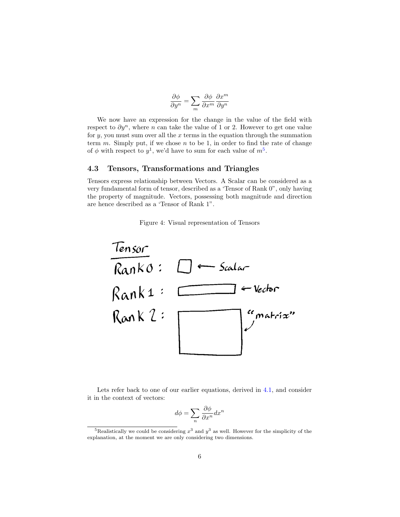$$
\frac{\partial \phi}{\partial y^n} = \sum_m \frac{\partial \phi}{\partial x^m} \frac{\partial x^m}{\partial y^n}
$$

We now have an expression for the change in the value of the field with respect to  $\partial y^n$ , where n can take the value of 1 or 2. However to get one value for  $y$ , you must sum over all the  $x$  terms in the equation through the summation term  $m$ . Simply put, if we chose  $n$  to be 1, in order to find the rate of change of  $\phi$  with respect to  $y^1$ , we'd have to sum for each value of  $m^5$  $m^5$ .

#### 4.3 Tensors, Transformations and Triangles

Tensors express relationship between Vectors. A Scalar can be considered as a very fundamental form of tensor, described as a 'Tensor of Rank 0", only having the property of magnitude. Vectors, possessing both magnitude and direction are hence described as a 'Tensor of Rank 1".





Lets refer back to one of our earlier equations, derived in [4.1,](#page-2-2) and consider it in the context of vectors:

$$
d\phi = \sum_{n} \frac{\partial \phi}{\partial x^n} dx^n
$$

<span id="page-5-0"></span><sup>&</sup>lt;sup>5</sup>Realistically we could be considering  $x^3$  and  $y^3$  as well. However for the simplicity of the explanation, at the moment we are only considering two dimensions.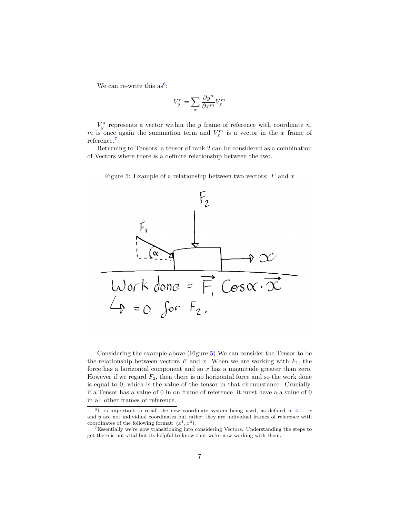We can re-write this  $as^6$  $as^6$ :

$$
V_y^n = \sum_m \frac{\partial y^n}{\partial x^m} V_x^m
$$

 $V_y^n$  represents a vector within the y frame of reference with coordinate n, m is once again the summation term and  $V_x^m$  is a vector in the x frame of reference.[7](#page-6-1)

Returning to Tensors, a tensor of rank 2 can be considered as a combination of Vectors where there is a definite relationship between the two.



Work donc =  $\overrightarrow{F}$  Cos $\alpha \cdot \overrightarrow{x}$ 

 $4 = 0$  for  $F_2$ .

<span id="page-6-2"></span>

Considering the example above (Figure [5\)](#page-6-2) We can consider the Tensor to be the relationship between vectors  $F$  and  $x$ . When we are working with  $F_1$ , the force has a horizontal component and so  $x$  has a magnitude greater than zero. However if we regard  $F_2$ , then there is no horizontal force and so the work done is equal to 0, which is the value of the tensor in that circumstance. Crucially, if a Tensor has a value of 0 in on frame of reference, it must have a a value of 0 in all other frames of reference.

<span id="page-6-0"></span> ${}^{6}$ It is important to recall the new coordinate system being used, as defined in [4.1.](#page-2-2) x and y are not individual coordinates but rather they are individual frames of reference with coordinates of the following format:  $(x^1, x^2)$ .

<span id="page-6-1"></span><sup>7</sup>Essentially we're now transitioning into considering Vectors. Understanding the steps to get there is not vital but its helpful to know that we're now working with them.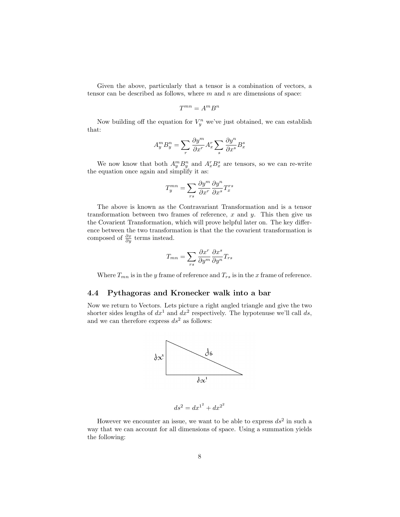Given the above, particularly that a tensor is a combination of vectors, a tensor can be described as follows, where  $m$  and  $n$  are dimensions of space:

$$
T^{mn}=A^mB^n
$$

Now building off the equation for  $V_j^n$  we've just obtained, we can establish that:

$$
A_y^m B_y^n = \sum_r \frac{\partial y^m}{\partial x^r} A_x^r \sum_s \frac{\partial y^n}{\partial x^s} B_x^s
$$

We now know that both  $A_y^m B_y^n$  and  $A_x^r B_x^s$  are tensors, so we can re-write the equation once again and simplify it as:

$$
T_y^{mn} = \sum_{rs} \frac{\partial y^m}{\partial x^r} \frac{\partial y^n}{\partial x^s} T_x^{rs}
$$

The above is known as the Contravariant Transformation and is a tensor transformation between two frames of reference,  $x$  and  $y$ . This then give us the Covarient Transformation, which will prove helpful later on. The key difference between the two transformation is that the the covarient transformation is composed of  $\frac{\partial x}{\partial y}$  terms instead.

$$
T_{mn} = \sum_{rs} \frac{\partial x^r}{\partial y^m} \frac{\partial x^s}{\partial y^n} T_{rs}
$$

Where  $T_{mn}$  is in the y frame of reference and  $T_{rs}$  is in the x frame of reference.

#### 4.4 Pythagoras and Kronecker walk into a bar

Now we return to Vectors. Lets picture a right angled triangle and give the two shorter sides lengths of  $dx^1$  and  $dx^2$  respectively. The hypotenuse we'll call ds, and we can therefore express  $ds^2$  as follows:



$$
ds^2 = dx^{1^2} + dx^{2^2}
$$

However we encounter an issue, we want to be able to express  $ds^2$  in such a way that we can account for all dimensions of space. Using a summation yields the following: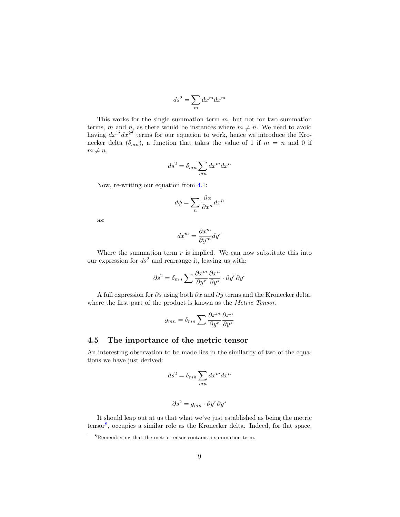$$
ds^2 = \sum_m dx^m dx^m
$$

This works for the single summation term  $m$ , but not for two summation terms, m and n, as there would be instances where  $m \neq n$ . We need to avoid having  $dx^{1^2}dx^{2^2}$  terms for our equation to work, hence we introduce the Kronecker delta  $(\delta_{mn})$ , a function that takes the value of 1 if  $m = n$  and 0 if  $m \neq n$ .

$$
ds^2 = \delta_{mn} \sum_{mn} dx^m dx^n
$$

Now, re-writing our equation from [4.1:](#page-2-2)

$$
d\phi = \sum_{n} \frac{\partial \phi}{\partial x^n} dx^n
$$

as:

$$
dx^m = \frac{\partial x^m}{\partial y^m} dy^r
$$

Where the summation term  $r$  is implied. We can now substitute this into our expression for  $ds^2$  and rearrange it, leaving us with:

$$
\partial s^2 = \delta_{mn} \sum \frac{\partial x^m}{\partial y^r} \frac{\partial x^n}{\partial y^s} \cdot \partial y^r \partial y^s
$$

A full expression for  $\partial s$  using both  $\partial x$  and  $\partial y$  terms and the Kronecker delta, where the first part of the product is known as the Metric Tensor.

$$
g_{mn} = \delta_{mn} \sum \frac{\partial x^m}{\partial y^r} \frac{\partial x^n}{\partial y^s}
$$

#### 4.5 The importance of the metric tensor

An interesting observation to be made lies in the similarity of two of the equations we have just derived:

$$
ds^2 = \delta_{mn} \sum_{mn} dx^m dx^n
$$

$$
\partial s^2 = g_{mn} \cdot \partial y^r \partial y^s
$$

It should leap out at us that what we've just established as being the metric tensor[8](#page-8-0) , occupies a similar role as the Kronecker delta. Indeed, for flat space,

<span id="page-8-0"></span><sup>8</sup>Remembering that the metric tensor contains a summation term.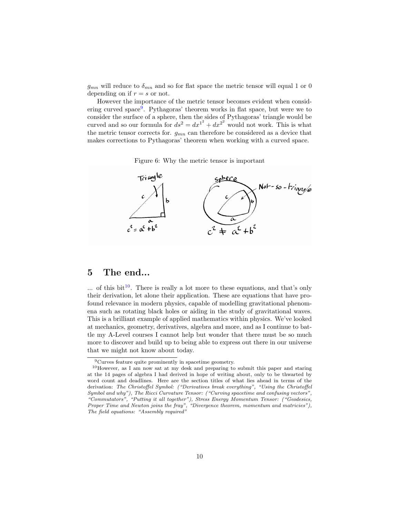$g_{mn}$  will reduce to  $\delta_{mn}$  and so for flat space the metric tensor will equal 1 or 0 depending on if  $r = s$  or not.

However the importance of the metric tensor becomes evident when consid-ering curved space<sup>[9](#page-9-0)</sup>. Pythagoras' theorem works in flat space, but were we to consider the surface of a sphere, then the sides of Pythagoras' triangle would be curved and so our formula for  $ds^2 = dx^{1^2} + dx^{2^2}$  would not work. This is what the metric tensor corrects for.  $g_{mn}$  can therefore be considered as a device that makes corrections to Pythagoras' theorem when working with a curved space.

Figure 6: Why the metric tensor is important



# 5 The end...

 $\ldots$  of this bit<sup>[10](#page-9-1)</sup>. There is really a lot more to these equations, and that's only their derivation, let alone their application. These are equations that have profound relevance in modern physics, capable of modelling gravitational phenomena such as rotating black holes or aiding in the study of gravitational waves. This is a brilliant example of applied mathematics within physics. We've looked at mechanics, geometry, derivatives, algebra and more, and as I continue to battle my A-Level courses I cannot help but wonder that there must be so much more to discover and build up to being able to express out there in our universe that we might not know about today.

<span id="page-9-1"></span><span id="page-9-0"></span><sup>9</sup>Curves feature quite prominently in spacetime geometry.

<sup>10</sup>However, as I am now sat at my desk and preparing to submit this paper and staring at the 14 pages of algebra I had derived in hope of writing about, only to be thwarted by word count and deadlines. Here are the section titles of what lies ahead in terms of the derivation: The Christoffel Symbol: ("Derivatives break everything", "Using the Christoffel Symbol and why"), The Ricci Curvature Tensor: ("Curving spacetime and confusing vectors", "Commutators", "Putting it all together"), Stress Energy Momentum Tensor: ("Geodesics, Proper Time and Newton joins the fray", "Divergence theorem, momentum and matricies"), The field equations: "Assembly required"